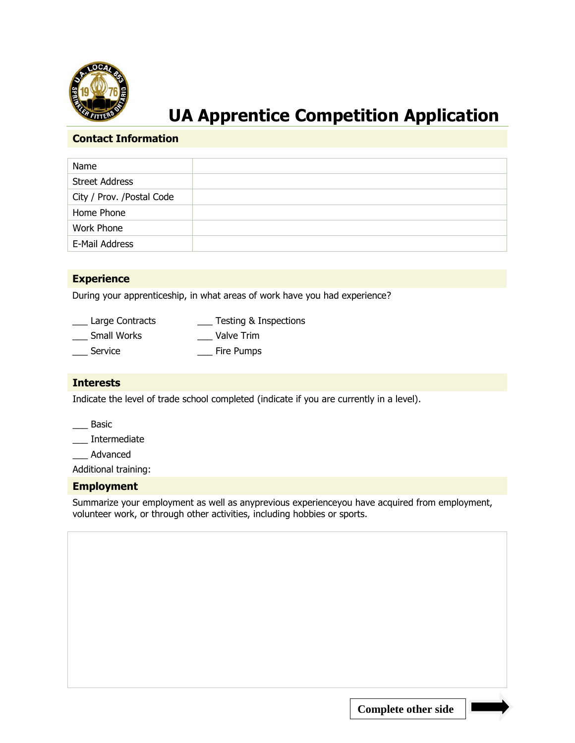

# **UA Apprentice Competition Application**

#### **Contact Information**

| Name                       |  |
|----------------------------|--|
| <b>Street Address</b>      |  |
| City / Prov. / Postal Code |  |
| Home Phone                 |  |
| Work Phone                 |  |
| E-Mail Address             |  |

### **Experience**

During your apprenticeship, in what areas of work have you had experience?

| Large Contracts    | Testing & Inspections |
|--------------------|-----------------------|
| <b>Small Works</b> | Valve Trim            |
| Service            | Fire Pumps            |

#### **Interests**

Indicate the level of trade school completed (indicate if you are currently in a level).

\_\_\_ Basic

\_\_\_ Intermediate

\_\_\_ Advanced

Additional training:

#### **Employment**

Summarize your employment as well as anyprevious experienceyou have acquired from employment, volunteer work, or through other activities, including hobbies or sports.